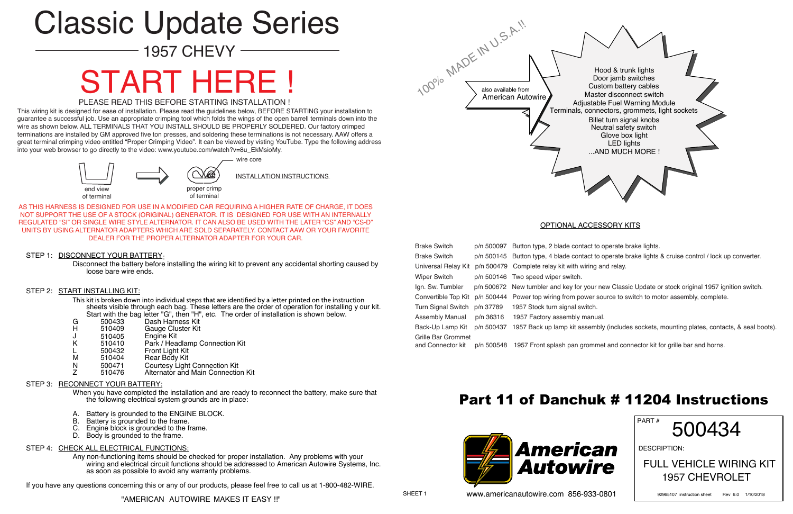SHEET 1

Disconnect the battery before installing the wiring kit to prevent any accidental shorting caused by loose bare wire ends.

#### STEP 2: START INSTALLING KIT:

This kit is broken down into individual steps that are identified by a letter printed on the instruction sheets visible through each bag. These letters are the order of operation for installing y our kit. Start with the bag letter "G", then "H", etc. The order of installation is shown below.<br>500433 Dash Harness Kit

- G 500433 Dash Harness Kit<br>H 510409 Gauge Cluster Kit
- H 510409 Gauge Cluster Kit<br>J 510405 Engine Kit
- J 510405 Engine Kit
- Park / Headlamp Connection Kit
- L 500432 Front Light Kit
- 
- 510404 Rear Body Kit<br>500471 Courtesy Light N 500471 Courtesy Light Connection Kit<br>
Z 510476 Alternator and Main Connection
- Alternator and Main Connection Kit

#### STEP 3: RECONNECT YOUR BATTERY:

- A. Battery is grounded to the ENGINE BLOCK.<br>B. Battery is grounded to the frame.
- B. Battery is grounded to the frame.<br>C. Engine block is grounded to the f
- Engine block is grounded to the frame.
- D. Body is grounded to the frame.

#### STEP 4: CHECK ALL ELECTRICAL FUNCTIONS:

When you have completed the installation and are ready to reconnect the battery, make sure that the following electrical system grounds are in place:

Any non-functioning items should be checked for proper installation. Any problems with your wiring and electrical circuit functions should be addressed to American Autowire Systems, Inc. as soon as possible to avoid any warranty problems.

If you have any questions concerning this or any of our products, please feel free to call us at 1-800-482-WIRE.

### OPTIONAL ACCESSORY KITS



PART #

DESCRIPTION:

### 500434

FULL VEHICLE WIRING KIT 1957 CHEVROLET

92965107 instruction sheet Rev 6.0 1/10/2018

This wiring kit is designed for ease of installation. Please read the guidelines below, BEFORE STARTING your installation to guarantee a successful job. Use an appropriate crimping tool which folds the wings of the open barrell terminals down into the wire as shown below. ALL TERMINALS THAT YOU INSTALL SHOULD BE PROPERLY SOLDERED. Our factory crimped terminations are installed by GM approved five ton presses, and soldering these terminations is not necessary. AAW offers a great terminal crimping video entitled "Proper Crimping Video". It can be viewed by visting YouTube. Type the following address into your web browser to go directly to the video: www.youtube.com/watch?v=8u\_EkMsioMy.

| <b>Brake Switch</b>                            | p/n 50 |
|------------------------------------------------|--------|
| <b>Brake Switch</b>                            | p/n 50 |
| Universal Relay Kit                            | p/n 50 |
| <b>Wiper Switch</b>                            | p/n 50 |
| Ign. Sw. Tumbler                               | p/n 50 |
| Convertible Top Kit                            | p/n 50 |
| <b>Turn Signal Switch</b>                      | p/n 37 |
| <b>Assembly Manual</b>                         | p/n 36 |
| Back-Up Lamp Kit                               | p/n 50 |
| <b>Grille Bar Grommet</b><br>and Connector kit | p/n 50 |

00097 Button type, 2 blade contact to operate brake lights. 00145 Button type, 4 blade contact to operate brake lights & cruise control / lock up converter. 00479 Complete relay kit with wiring and relay. 00146 Two speed wiper switch. 00672 New tumbler and key for your new Classic Update or stock original 1957 ignition switch. 00444 Power top wiring from power source to switch to motor assembly, complete. 789 1957 Stock turn signal switch. 6316 1957 Factory assembly manual. 00437 1957 Back up lamp kit assembly (includes sockets, mounting plates, contacts, & seal boots).

00548 1957 Front splash pan grommet and connector kit for grille bar and horns.



www.americanautowire.com 856-933-0801



# START HERE !

#### PLEASE READ THIS BEFORE STARTING INSTALLATION !

AS THIS HARNESS IS DESIGNED FOR USE IN A MODIFIED CAR REQUIRING A HIGHER RATE OF CHARGE, IT DOES NOT SUPPORT THE USE OF A STOCK (ORIGINAL) GENERATOR. IT IS DESIGNED FOR USE WITH AN INTERNALLY REGULATED "SI" OR SINGLE WIRE STYLE ALTERNATOR. IT CAN ALSO BE USED WITH THE LATER "CS" AND "CS-D" UNITS BY USING ALTERNATOR ADAPTERS WHICH ARE SOLD SEPARATELY. CONTACT AAW OR YOUR FAVORITE DEALER FOR THE PROPER ALTERNATOR ADAPTER FOR YOUR CAR.

#### STEP 1: DISCONNECT YOUR BATTERY.

## Classic Update Series

1957 CHEVY

### Part 11 of Danchuk # 11204 Instructions

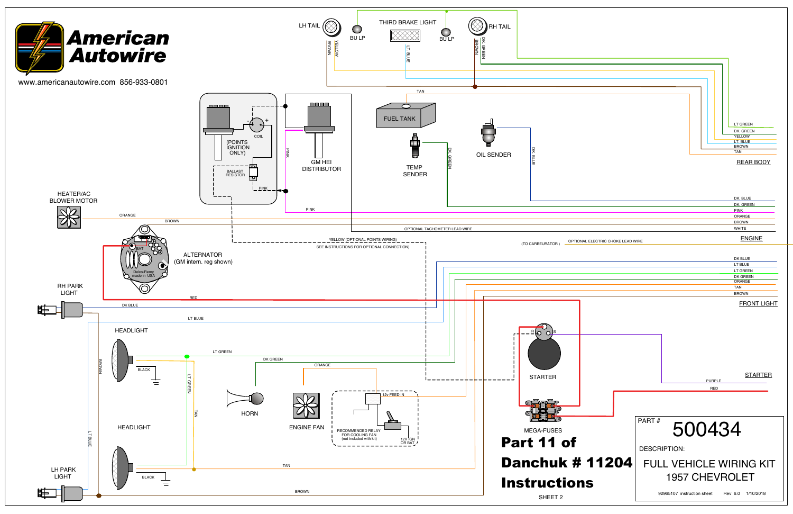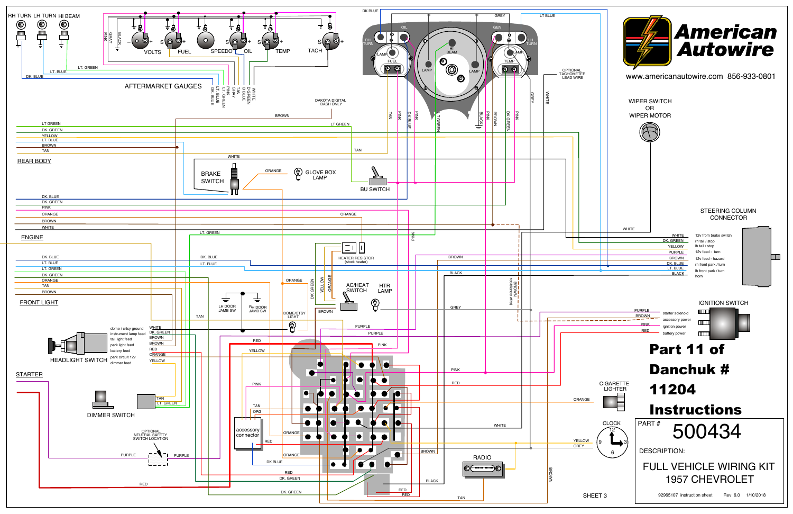